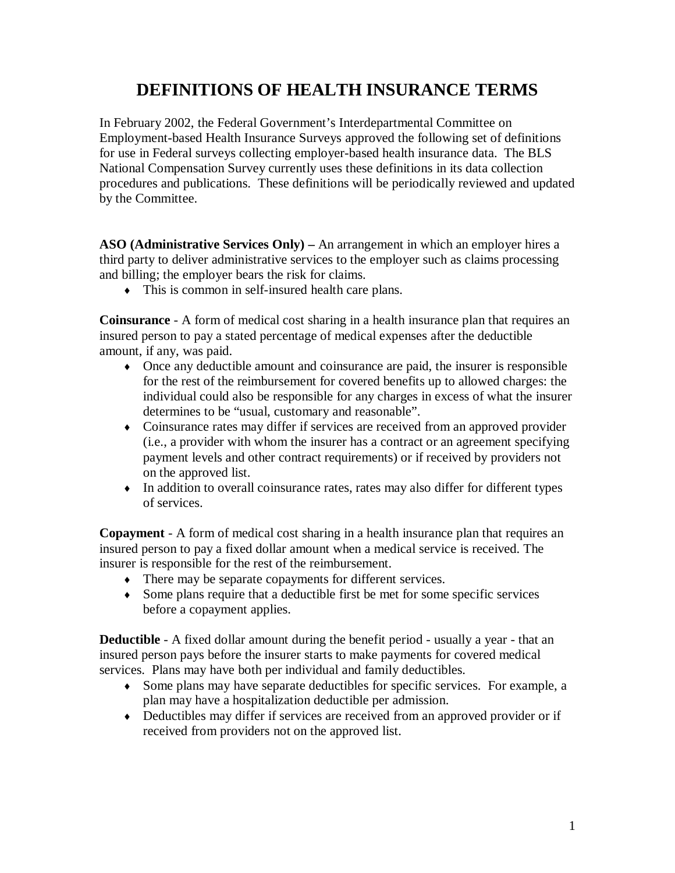## **DEFINITIONS OF HEALTH INSURANCE TERMS**

In February 2002, the Federal Government's Interdepartmental Committee on Employment-based Health Insurance Surveys approved the following set of definitions for use in Federal surveys collecting employer-based health insurance data. The BLS National Compensation Survey currently uses these definitions in its data collection procedures and publications. These definitions will be periodically reviewed and updated by the Committee.

**ASO (Administrative Services Only) –** An arrangement in which an employer hires a third party to deliver administrative services to the employer such as claims processing and billing; the employer bears the risk for claims.

 $\bullet$  This is common in self-insured health care plans.

**Coinsurance** - A form of medical cost sharing in a health insurance plan that requires an insured person to pay a stated percentage of medical expenses after the deductible amount, if any, was paid.

- ♦ Once any deductible amount and coinsurance are paid, the insurer is responsible for the rest of the reimbursement for covered benefits up to allowed charges: the individual could also be responsible for any charges in excess of what the insurer determines to be "usual, customary and reasonable".
- ♦ Coinsurance rates may differ if services are received from an approved provider (i.e., a provider with whom the insurer has a contract or an agreement specifying payment levels and other contract requirements) or if received by providers not on the approved list.
- In addition to overall coinsurance rates, rates may also differ for different types of services.

**Copayment** - A form of medical cost sharing in a health insurance plan that requires an insured person to pay a fixed dollar amount when a medical service is received. The insurer is responsible for the rest of the reimbursement.

- There may be separate copayments for different services.
- ♦ Some plans require that a deductible first be met for some specific services before a copayment applies.

**Deductible** - A fixed dollar amount during the benefit period - usually a year - that an insured person pays before the insurer starts to make payments for covered medical services. Plans may have both per individual and family deductibles.

- ♦ Some plans may have separate deductibles for specific services. For example, a plan may have a hospitalization deductible per admission.
- ♦ Deductibles may differ if services are received from an approved provider or if received from providers not on the approved list.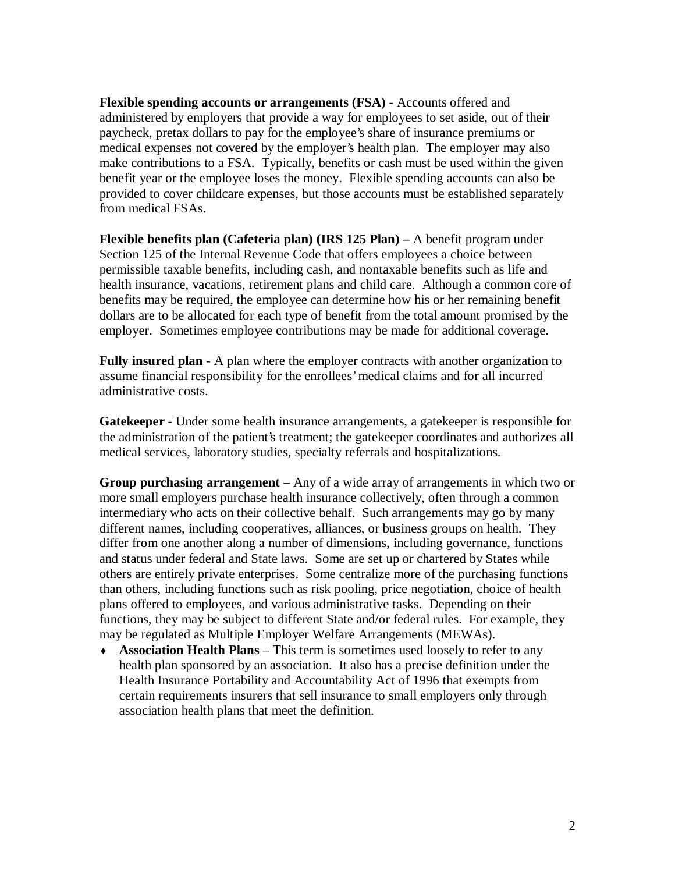**Flexible spending accounts or arrangements (FSA)** - Accounts offered and administered by employers that provide a way for employees to set aside, out of their paycheck, pretax dollars to pay for the employee's share of insurance premiums or medical expenses not covered by the employer's health plan. The employer may also make contributions to a FSA. Typically, benefits or cash must be used within the given benefit year or the employee loses the money. Flexible spending accounts can also be provided to cover childcare expenses, but those accounts must be established separately from medical FSAs.

**Flexible benefits plan (Cafeteria plan) (IRS 125 Plan) –** A benefit program under Section 125 of the Internal Revenue Code that offers employees a choice between permissible taxable benefits, including cash, and nontaxable benefits such as life and health insurance, vacations, retirement plans and child care. Although a common core of benefits may be required, the employee can determine how his or her remaining benefit dollars are to be allocated for each type of benefit from the total amount promised by the employer. Sometimes employee contributions may be made for additional coverage.

**Fully insured plan** - A plan where the employer contracts with another organization to assume financial responsibility for the enrollees' medical claims and for all incurred administrative costs.

**Gatekeeper** - Under some health insurance arrangements, a gatekeeper is responsible for the administration of the patient's treatment; the gatekeeper coordinates and authorizes all medical services, laboratory studies, specialty referrals and hospitalizations.

**Group purchasing arrangement** – Any of a wide array of arrangements in which two or more small employers purchase health insurance collectively, often through a common intermediary who acts on their collective behalf. Such arrangements may go by many different names, including cooperatives, alliances, or business groups on health. They differ from one another along a number of dimensions, including governance, functions and status under federal and State laws. Some are set up or chartered by States while others are entirely private enterprises. Some centralize more of the purchasing functions than others, including functions such as risk pooling, price negotiation, choice of health plans offered to employees, and various administrative tasks. Depending on their functions, they may be subject to different State and/or federal rules. For example, they may be regulated as Multiple Employer Welfare Arrangements (MEWAs).

**Association Health Plans** – This term is sometimes used loosely to refer to any health plan sponsored by an association. It also has a precise definition under the Health Insurance Portability and Accountability Act of 1996 that exempts from certain requirements insurers that sell insurance to small employers only through association health plans that meet the definition.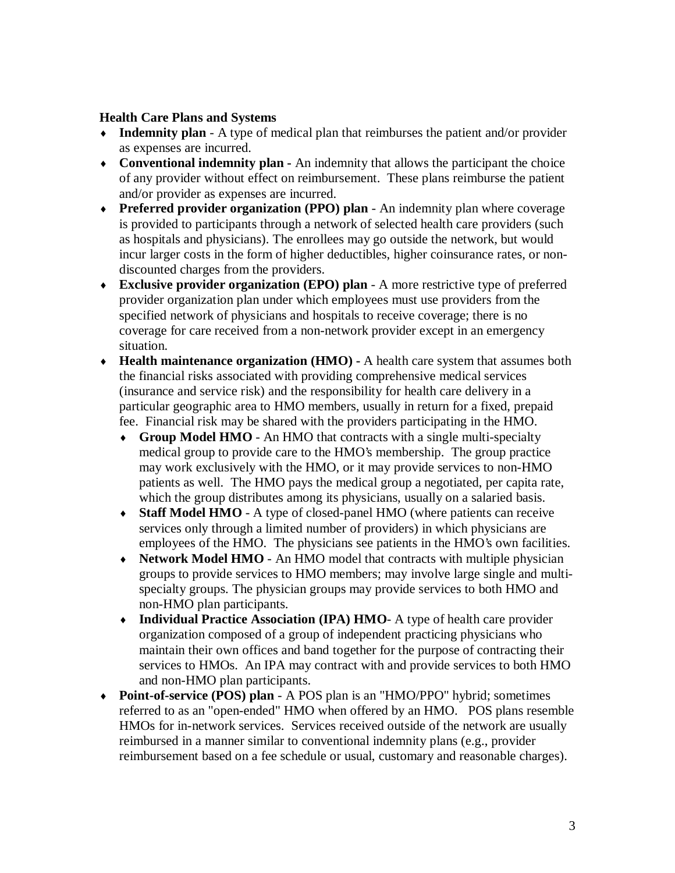## **Health Care Plans and Systems**

- ♦ **Indemnity plan** A type of medical plan that reimburses the patient and/or provider as expenses are incurred.
- ♦ **Conventional indemnity plan -** An indemnity that allows the participant the choice of any provider without effect on reimbursement. These plans reimburse the patient and/or provider as expenses are incurred.
- ♦ **Preferred provider organization (PPO) plan** An indemnity plan where coverage is provided to participants through a network of selected health care providers (such as hospitals and physicians). The enrollees may go outside the network, but would incur larger costs in the form of higher deductibles, higher coinsurance rates, or nondiscounted charges from the providers.
- ♦ **Exclusive provider organization (EPO) plan** A more restrictive type of preferred provider organization plan under which employees must use providers from the specified network of physicians and hospitals to receive coverage; there is no coverage for care received from a non-network provider except in an emergency situation.
- **Health maintenance organization (HMO) -** A health care system that assumes both the financial risks associated with providing comprehensive medical services (insurance and service risk) and the responsibility for health care delivery in a particular geographic area to HMO members, usually in return for a fixed, prepaid fee. Financial risk may be shared with the providers participating in the HMO.
	- ♦ **Group Model HMO** An HMO that contracts with a single multi-specialty medical group to provide care to the HMO's membership. The group practice may work exclusively with the HMO, or it may provide services to non-HMO patients as well. The HMO pays the medical group a negotiated, per capita rate, which the group distributes among its physicians, usually on a salaried basis.
	- ♦ **Staff Model HMO** A type of closed-panel HMO (where patients can receive services only through a limited number of providers) in which physicians are employees of the HMO. The physicians see patients in the HMO's own facilities.
	- **Network Model HMO** An HMO model that contracts with multiple physician groups to provide services to HMO members; may involve large single and multispecialty groups. The physician groups may provide services to both HMO and non-HMO plan participants.
	- ♦ **Individual Practice Association (IPA) HMO** A type of health care provider organization composed of a group of independent practicing physicians who maintain their own offices and band together for the purpose of contracting their services to HMOs. An IPA may contract with and provide services to both HMO and non-HMO plan participants.
- ♦ **Point-of-service (POS) plan**  A POS plan is an "HMO/PPO" hybrid; sometimes referred to as an "open-ended" HMO when offered by an HMO. POS plans resemble HMOs for in-network services. Services received outside of the network are usually reimbursed in a manner similar to conventional indemnity plans (e.g., provider reimbursement based on a fee schedule or usual, customary and reasonable charges).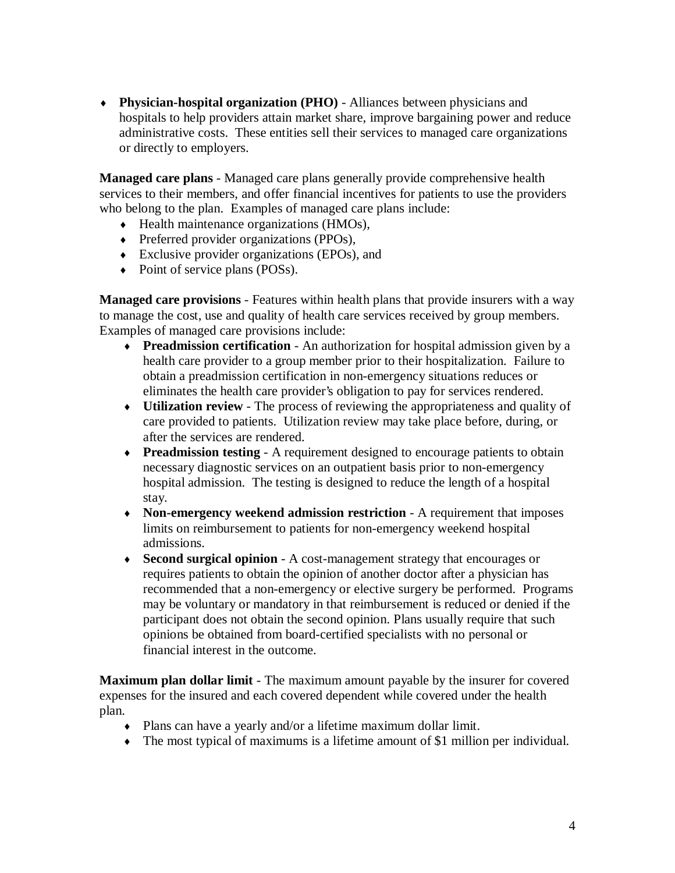♦ **Physician-hospital organization (PHO)** - Alliances between physicians and hospitals to help providers attain market share, improve bargaining power and reduce administrative costs. These entities sell their services to managed care organizations or directly to employers.

**Managed care plans** - Managed care plans generally provide comprehensive health services to their members, and offer financial incentives for patients to use the providers who belong to the plan. Examples of managed care plans include:

- $\leftarrow$  Health maintenance organizations (HMOs),
- Preferred provider organizations (PPOs),
- ♦ Exclusive provider organizations (EPOs), and
- $\bullet$  Point of service plans (POSs).

**Managed care provisions** - Features within health plans that provide insurers with a way to manage the cost, use and quality of health care services received by group members. Examples of managed care provisions include:

- ♦ **Preadmission certification** An authorization for hospital admission given by a health care provider to a group member prior to their hospitalization. Failure to obtain a preadmission certification in non-emergency situations reduces or eliminates the health care provider's obligation to pay for services rendered.
- ♦ **Utilization review** The process of reviewing the appropriateness and quality of care provided to patients. Utilization review may take place before, during, or after the services are rendered.
- ♦ **Preadmission testing** A requirement designed to encourage patients to obtain necessary diagnostic services on an outpatient basis prior to non-emergency hospital admission. The testing is designed to reduce the length of a hospital stay.
- **Non-emergency weekend admission restriction** A requirement that imposes limits on reimbursement to patients for non-emergency weekend hospital admissions.
- ♦ **Second surgical opinion** A cost-management strategy that encourages or requires patients to obtain the opinion of another doctor after a physician has recommended that a non-emergency or elective surgery be performed. Programs may be voluntary or mandatory in that reimbursement is reduced or denied if the participant does not obtain the second opinion. Plans usually require that such opinions be obtained from board-certified specialists with no personal or financial interest in the outcome.

**Maximum plan dollar limit** - The maximum amount payable by the insurer for covered expenses for the insured and each covered dependent while covered under the health plan.

- Plans can have a yearly and/or a lifetime maximum dollar limit.
- ♦ The most typical of maximums is a lifetime amount of \$1 million per individual.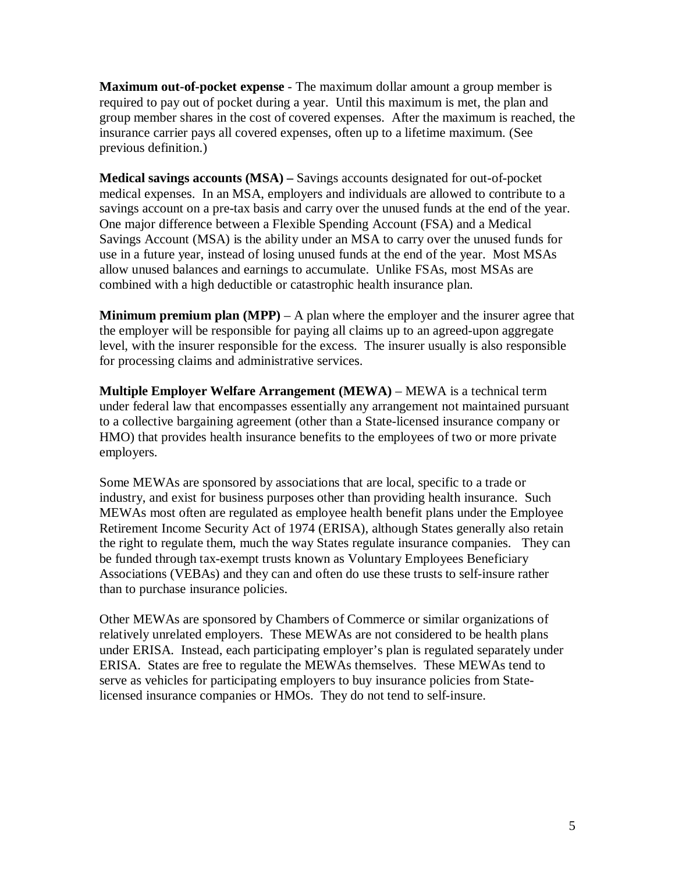**Maximum out-of-pocket expense** - The maximum dollar amount a group member is required to pay out of pocket during a year. Until this maximum is met, the plan and group member shares in the cost of covered expenses. After the maximum is reached, the insurance carrier pays all covered expenses, often up to a lifetime maximum. (See previous definition.)

**Medical savings accounts (MSA) –** Savings accounts designated for out-of-pocket medical expenses. In an MSA, employers and individuals are allowed to contribute to a savings account on a pre-tax basis and carry over the unused funds at the end of the year. One major difference between a Flexible Spending Account (FSA) and a Medical Savings Account (MSA) is the ability under an MSA to carry over the unused funds for use in a future year, instead of losing unused funds at the end of the year. Most MSAs allow unused balances and earnings to accumulate. Unlike FSAs, most MSAs are combined with a high deductible or catastrophic health insurance plan.

**Minimum premium plan (MPP)** – A plan where the employer and the insurer agree that the employer will be responsible for paying all claims up to an agreed-upon aggregate level, with the insurer responsible for the excess. The insurer usually is also responsible for processing claims and administrative services.

**Multiple Employer Welfare Arrangement (MEWA)** – MEWA is a technical term under federal law that encompasses essentially any arrangement not maintained pursuant to a collective bargaining agreement (other than a State-licensed insurance company or HMO) that provides health insurance benefits to the employees of two or more private employers.

Some MEWAs are sponsored by associations that are local, specific to a trade or industry, and exist for business purposes other than providing health insurance. Such MEWAs most often are regulated as employee health benefit plans under the Employee Retirement Income Security Act of 1974 (ERISA), although States generally also retain the right to regulate them, much the way States regulate insurance companies. They can be funded through tax-exempt trusts known as Voluntary Employees Beneficiary Associations (VEBAs) and they can and often do use these trusts to self-insure rather than to purchase insurance policies.

Other MEWAs are sponsored by Chambers of Commerce or similar organizations of relatively unrelated employers. These MEWAs are not considered to be health plans under ERISA. Instead, each participating employer's plan is regulated separately under ERISA. States are free to regulate the MEWAs themselves. These MEWAs tend to serve as vehicles for participating employers to buy insurance policies from Statelicensed insurance companies or HMOs. They do not tend to self-insure.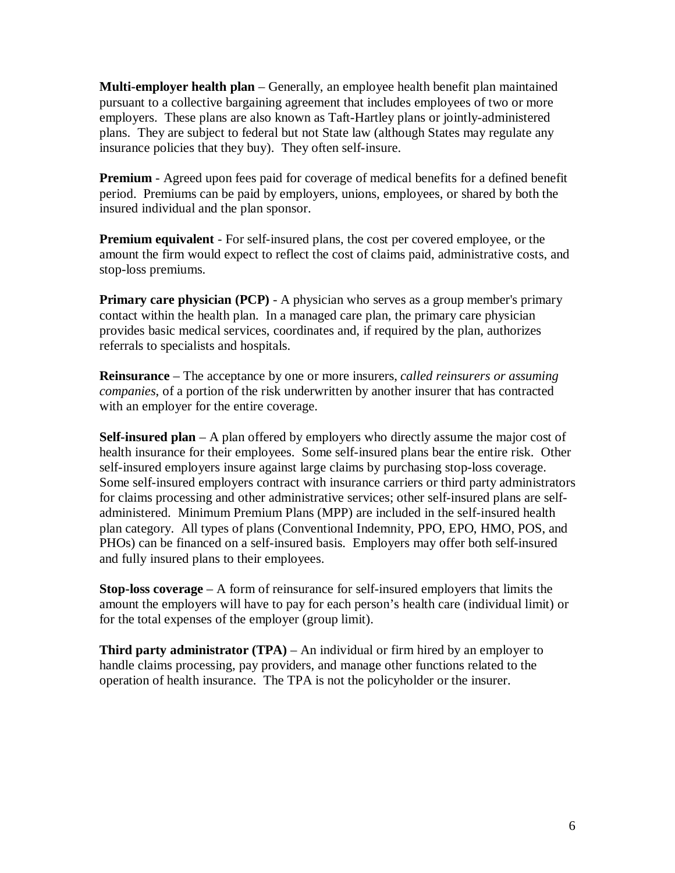**Multi-employer health plan** – Generally, an employee health benefit plan maintained pursuant to a collective bargaining agreement that includes employees of two or more employers. These plans are also known as Taft-Hartley plans or jointly-administered plans. They are subject to federal but not State law (although States may regulate any insurance policies that they buy). They often self-insure.

**Premium** - Agreed upon fees paid for coverage of medical benefits for a defined benefit period. Premiums can be paid by employers, unions, employees, or shared by both the insured individual and the plan sponsor.

**Premium equivalent** - For self-insured plans, the cost per covered employee, or the amount the firm would expect to reflect the cost of claims paid, administrative costs, and stop-loss premiums.

**Primary care physician (PCP)** - A physician who serves as a group member's primary contact within the health plan. In a managed care plan, the primary care physician provides basic medical services, coordinates and, if required by the plan, authorizes referrals to specialists and hospitals.

**Reinsurance** – The acceptance by one or more insurers, *called reinsurers or assuming companies*, of a portion of the risk underwritten by another insurer that has contracted with an employer for the entire coverage.

**Self-insured plan** – A plan offered by employers who directly assume the major cost of health insurance for their employees. Some self-insured plans bear the entire risk. Other self-insured employers insure against large claims by purchasing stop-loss coverage. Some self-insured employers contract with insurance carriers or third party administrators for claims processing and other administrative services; other self-insured plans are selfadministered. Minimum Premium Plans (MPP) are included in the self-insured health plan category. All types of plans (Conventional Indemnity, PPO, EPO, HMO, POS, and PHOs) can be financed on a self-insured basis. Employers may offer both self-insured and fully insured plans to their employees.

**Stop-loss coverage** – A form of reinsurance for self-insured employers that limits the amount the employers will have to pay for each person's health care (individual limit) or for the total expenses of the employer (group limit).

**Third party administrator (TPA)** – An individual or firm hired by an employer to handle claims processing, pay providers, and manage other functions related to the operation of health insurance. The TPA is not the policyholder or the insurer.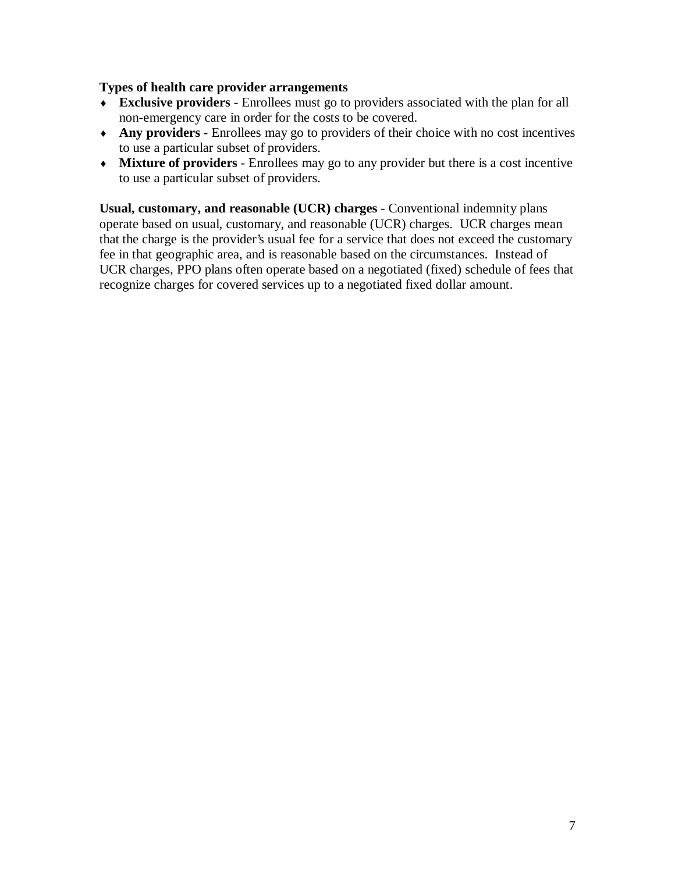## **Types of health care provider arrangements**

- ♦ **Exclusive providers** Enrollees must go to providers associated with the plan for all non-emergency care in order for the costs to be covered.
- ♦ **Any providers** Enrollees may go to providers of their choice with no cost incentives to use a particular subset of providers.
- ♦ **Mixture of providers** Enrollees may go to any provider but there is a cost incentive to use a particular subset of providers.

**Usual, customary, and reasonable (UCR) charges** - Conventional indemnity plans operate based on usual, customary, and reasonable (UCR) charges. UCR charges mean that the charge is the provider's usual fee for a service that does not exceed the customary fee in that geographic area, and is reasonable based on the circumstances. Instead of UCR charges, PPO plans often operate based on a negotiated (fixed) schedule of fees that recognize charges for covered services up to a negotiated fixed dollar amount.